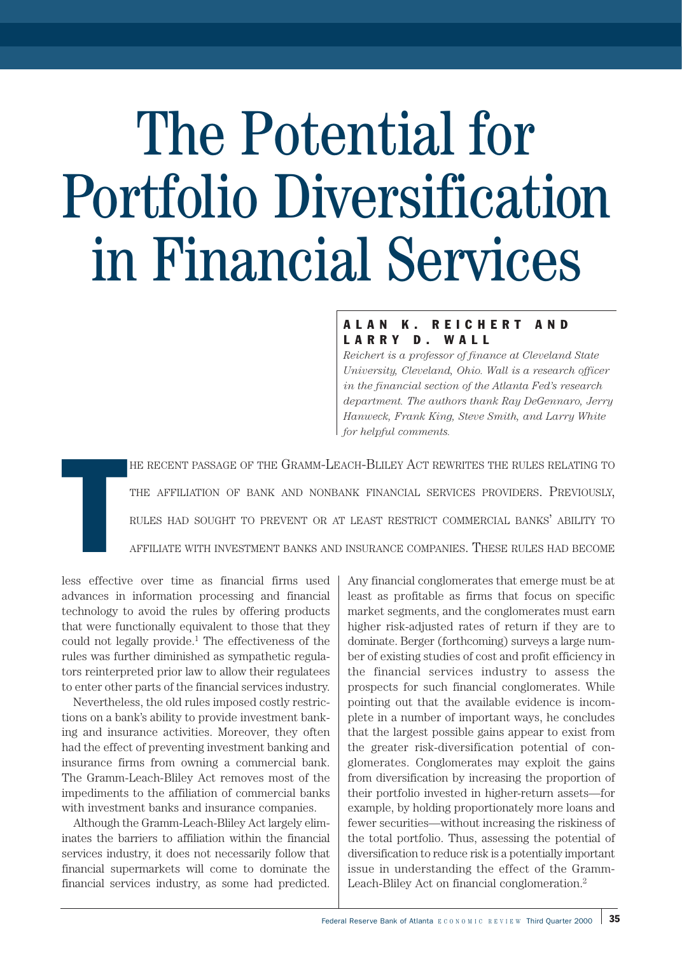# The Potential for Portfolio Diversification in Financial Services

# ALAN K. REICHERT AND LARRY D. WALL

*Reichert is a professor of finance at Cleveland State University, Cleveland, Ohio. Wall is a research officer in the financial section of the Atlanta Fed's research department. The authors thank Ray DeGennaro, Jerry Hanweck, Frank King, Steve Smith, and Larry White for helpful comments.*

HE RECENT PASSAGE OF THE GRAMM-LEACH-BLILEY ACT REWRITES THE RULES RELATING TO THE AFFILIATION OF BANK AND NONBANK FINANCIAL SERVICES PROVIDERS. PREVIOUSLY, RULES HAD SOUGHT TO PREVENT OR AT LEAST RESTRICT COMMERCIAL BANKS' ABILITY TO AFFILIATE WITH INVESTMENT BANKS AND INSURANCE COMPANIES. THESE RULES HAD BECOME

T less effective over time as financial firms used advances in information processing and financial technology to avoid the rules by offering products that were functionally equivalent to those that they could not legally provide.<sup>1</sup> The effectiveness of the rules was further diminished as sympathetic regulators reinterpreted prior law to allow their regulatees to enter other parts of the financial services industry.

Nevertheless, the old rules imposed costly restrictions on a bank's ability to provide investment banking and insurance activities. Moreover, they often had the effect of preventing investment banking and insurance firms from owning a commercial bank. The Gramm-Leach-Bliley Act removes most of the impediments to the affiliation of commercial banks with investment banks and insurance companies.

Although the Gramm-Leach-Bliley Act largely eliminates the barriers to affiliation within the financial services industry, it does not necessarily follow that financial supermarkets will come to dominate the financial services industry, as some had predicted. Any financial conglomerates that emerge must be at least as profitable as firms that focus on specific market segments, and the conglomerates must earn higher risk-adjusted rates of return if they are to dominate. Berger (forthcoming) surveys a large number of existing studies of cost and profit efficiency in the financial services industry to assess the prospects for such financial conglomerates. While pointing out that the available evidence is incomplete in a number of important ways, he concludes that the largest possible gains appear to exist from the greater risk-diversification potential of conglomerates. Conglomerates may exploit the gains from diversification by increasing the proportion of their portfolio invested in higher-return assets—for example, by holding proportionately more loans and fewer securities—without increasing the riskiness of the total portfolio. Thus, assessing the potential of diversification to reduce risk is a potentially important issue in understanding the effect of the Gramm-Leach-Bliley Act on financial conglomeration.2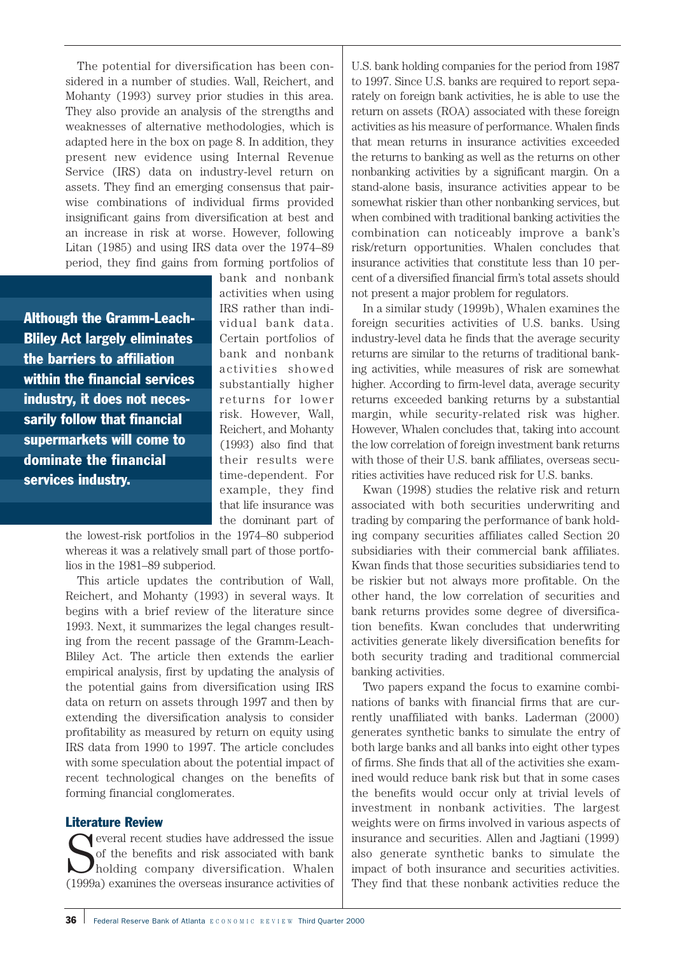The potential for diversification has been considered in a number of studies. Wall, Reichert, and Mohanty (1993) survey prior studies in this area. They also provide an analysis of the strengths and weaknesses of alternative methodologies, which is adapted here in the box on page 8. In addition, they present new evidence using Internal Revenue Service (IRS) data on industry-level return on assets. They find an emerging consensus that pairwise combinations of individual firms provided insignificant gains from diversification at best and an increase in risk at worse. However, following Litan (1985) and using IRS data over the 1974–89 period, they find gains from forming portfolios of

Although the Gramm-Leach-Bliley Act largely eliminates the barriers to affiliation within the financial services industry, it does not necessarily follow that financial supermarkets will come to dominate the financial services industry.

bank and nonbank activities when using IRS rather than individual bank data. Certain portfolios of bank and nonbank activities showed substantially higher returns for lower risk. However, Wall, Reichert, and Mohanty (1993) also find that their results were time-dependent. For example, they find that life insurance was the dominant part of

the lowest-risk portfolios in the 1974–80 subperiod whereas it was a relatively small part of those portfolios in the 1981–89 subperiod.

This article updates the contribution of Wall, Reichert, and Mohanty (1993) in several ways. It begins with a brief review of the literature since 1993. Next, it summarizes the legal changes resulting from the recent passage of the Gramm-Leach-Bliley Act. The article then extends the earlier empirical analysis, first by updating the analysis of the potential gains from diversification using IRS data on return on assets through 1997 and then by extending the diversification analysis to consider profitability as measured by return on equity using IRS data from 1990 to 1997. The article concludes with some speculation about the potential impact of recent technological changes on the benefits of forming financial conglomerates.

# Literature Review

S everal recent studies have addressed the issue of the benefits and risk associated with bank holding company diversification. Whalen (1999a) examines the overseas insurance activities of

U.S. bank holding companies for the period from 1987 to 1997. Since U.S. banks are required to report separately on foreign bank activities, he is able to use the return on assets (ROA) associated with these foreign activities as his measure of performance. Whalen finds that mean returns in insurance activities exceeded the returns to banking as well as the returns on other nonbanking activities by a significant margin. On a stand-alone basis, insurance activities appear to be somewhat riskier than other nonbanking services, but when combined with traditional banking activities the combination can noticeably improve a bank's risk/return opportunities. Whalen concludes that insurance activities that constitute less than 10 percent of a diversified financial firm's total assets should not present a major problem for regulators.

In a similar study (1999b), Whalen examines the foreign securities activities of U.S. banks. Using industry-level data he finds that the average security returns are similar to the returns of traditional banking activities, while measures of risk are somewhat higher. According to firm-level data, average security returns exceeded banking returns by a substantial margin, while security-related risk was higher. However, Whalen concludes that, taking into account the low correlation of foreign investment bank returns with those of their U.S. bank affiliates, overseas securities activities have reduced risk for U.S. banks.

Kwan (1998) studies the relative risk and return associated with both securities underwriting and trading by comparing the performance of bank holding company securities affiliates called Section 20 subsidiaries with their commercial bank affiliates. Kwan finds that those securities subsidiaries tend to be riskier but not always more profitable. On the other hand, the low correlation of securities and bank returns provides some degree of diversification benefits. Kwan concludes that underwriting activities generate likely diversification benefits for both security trading and traditional commercial banking activities.

Two papers expand the focus to examine combinations of banks with financial firms that are currently unaffiliated with banks. Laderman (2000) generates synthetic banks to simulate the entry of both large banks and all banks into eight other types of firms. She finds that all of the activities she examined would reduce bank risk but that in some cases the benefits would occur only at trivial levels of investment in nonbank activities. The largest weights were on firms involved in various aspects of insurance and securities. Allen and Jagtiani (1999) also generate synthetic banks to simulate the impact of both insurance and securities activities. They find that these nonbank activities reduce the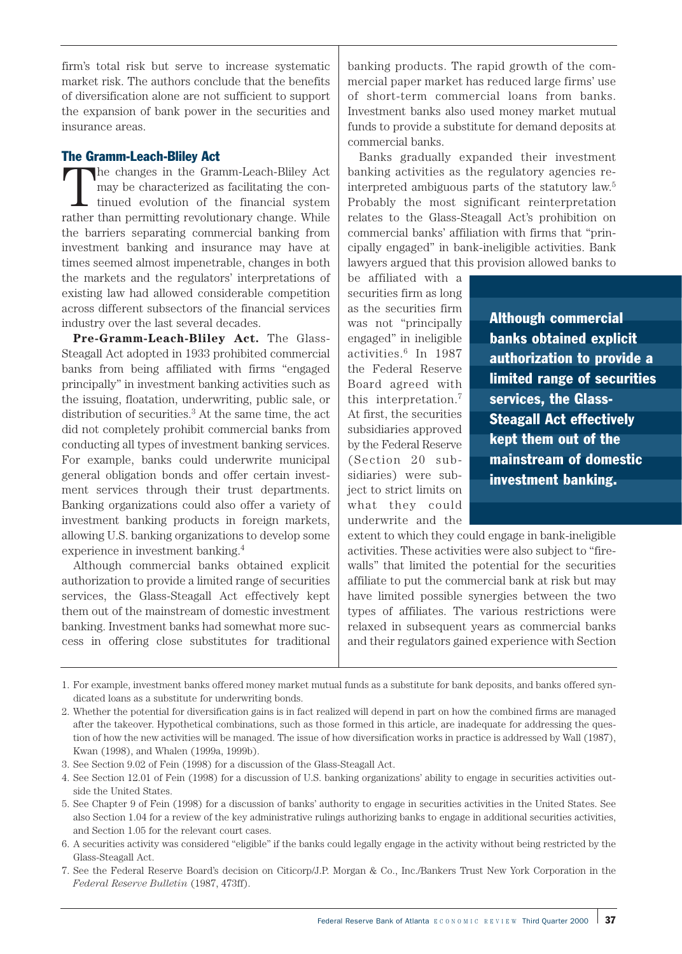firm's total risk but serve to increase systematic market risk. The authors conclude that the benefits of diversification alone are not sufficient to support the expansion of bank power in the securities and insurance areas.

# The Gramm-Leach-Bliley Act

The changes in the Gramm-Leach-Bliley Act may be characterized as facilitating the continued evolution of the financial system rather than permitting revolutionary change. While the barriers separating commercial banking from investment banking and insurance may have at times seemed almost impenetrable, changes in both the markets and the regulators' interpretations of existing law had allowed considerable competition across different subsectors of the financial services industry over the last several decades.

**Pre-Gramm-Leach-Bliley Act.** The Glass-Steagall Act adopted in 1933 prohibited commercial banks from being affiliated with firms "engaged principally" in investment banking activities such as the issuing, floatation, underwriting, public sale, or distribution of securities.<sup>3</sup> At the same time, the act did not completely prohibit commercial banks from conducting all types of investment banking services. For example, banks could underwrite municipal general obligation bonds and offer certain investment services through their trust departments. Banking organizations could also offer a variety of investment banking products in foreign markets, allowing U.S. banking organizations to develop some experience in investment banking.4

Although commercial banks obtained explicit authorization to provide a limited range of securities services, the Glass-Steagall Act effectively kept them out of the mainstream of domestic investment banking. Investment banks had somewhat more success in offering close substitutes for traditional banking products. The rapid growth of the commercial paper market has reduced large firms' use of short-term commercial loans from banks. Investment banks also used money market mutual funds to provide a substitute for demand deposits at commercial banks.

Banks gradually expanded their investment banking activities as the regulatory agencies reinterpreted ambiguous parts of the statutory law.5 Probably the most significant reinterpretation relates to the Glass-Steagall Act's prohibition on commercial banks' affiliation with firms that "principally engaged" in bank-ineligible activities. Bank lawyers argued that this provision allowed banks to

be affiliated with a securities firm as long as the securities firm was not "principally engaged" in ineligible activities.6 In 1987 the Federal Reserve Board agreed with this interpretation.7 At first, the securities subsidiaries approved by the Federal Reserve (Section 20 subsidiaries) were subject to strict limits on what they could underwrite and the

Although commercial banks obtained explicit authorization to provide a limited range of securities services, the Glass-Steagall Act effectively kept them out of the mainstream of domestic investment banking.

extent to which they could engage in bank-ineligible activities. These activities were also subject to "firewalls" that limited the potential for the securities affiliate to put the commercial bank at risk but may have limited possible synergies between the two types of affiliates. The various restrictions were relaxed in subsequent years as commercial banks and their regulators gained experience with Section

<sup>1.</sup> For example, investment banks offered money market mutual funds as a substitute for bank deposits, and banks offered syndicated loans as a substitute for underwriting bonds.

<sup>2.</sup> Whether the potential for diversification gains is in fact realized will depend in part on how the combined firms are managed after the takeover. Hypothetical combinations, such as those formed in this article, are inadequate for addressing the question of how the new activities will be managed. The issue of how diversification works in practice is addressed by Wall (1987), Kwan (1998), and Whalen (1999a, 1999b).

<sup>3.</sup> See Section 9.02 of Fein (1998) for a discussion of the Glass-Steagall Act.

<sup>4.</sup> See Section 12.01 of Fein (1998) for a discussion of U.S. banking organizations' ability to engage in securities activities outside the United States.

<sup>5.</sup> See Chapter 9 of Fein (1998) for a discussion of banks' authority to engage in securities activities in the United States. See also Section 1.04 for a review of the key administrative rulings authorizing banks to engage in additional securities activities, and Section 1.05 for the relevant court cases.

<sup>6.</sup> A securities activity was considered "eligible" if the banks could legally engage in the activity without being restricted by the Glass-Steagall Act.

<sup>7.</sup> See the Federal Reserve Board's decision on Citicorp/J.P. Morgan & Co., Inc./Bankers Trust New York Corporation in the *Federal Reserve Bulletin* (1987, 473ff).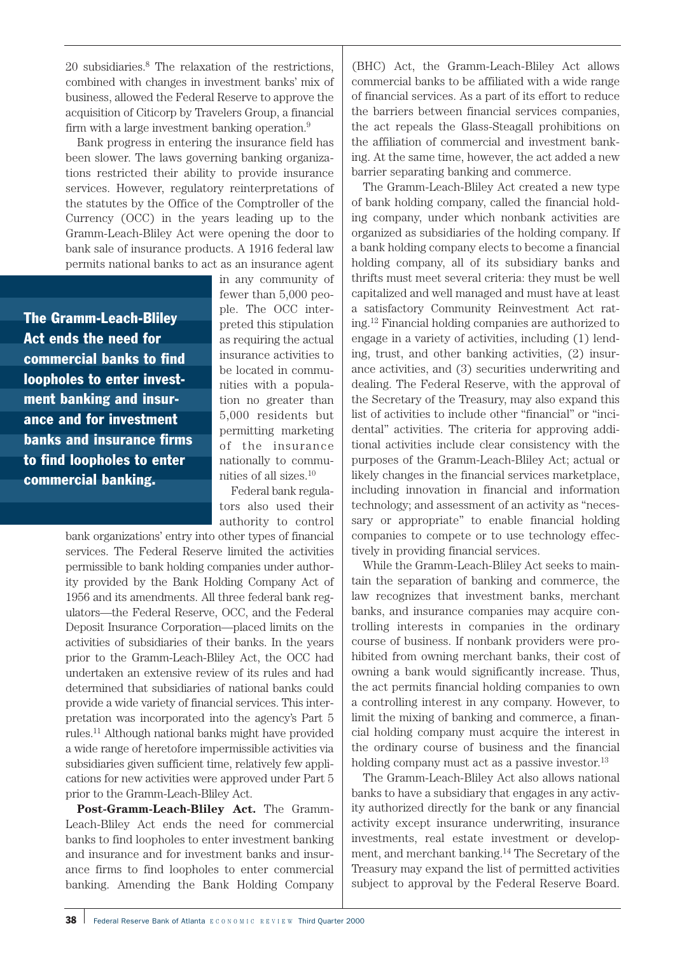20 subsidiaries.8 The relaxation of the restrictions, combined with changes in investment banks' mix of business, allowed the Federal Reserve to approve the acquisition of Citicorp by Travelers Group, a financial firm with a large investment banking operation.9

Bank progress in entering the insurance field has been slower. The laws governing banking organizations restricted their ability to provide insurance services. However, regulatory reinterpretations of the statutes by the Office of the Comptroller of the Currency (OCC) in the years leading up to the Gramm-Leach-Bliley Act were opening the door to bank sale of insurance products. A 1916 federal law permits national banks to act as an insurance agent

The Gramm-Leach-Bliley Act ends the need for commercial banks to find loopholes to enter investment banking and insurance and for investment banks and insurance firms to find loopholes to enter commercial banking.

in any community of fewer than 5,000 people. The OCC interpreted this stipulation as requiring the actual insurance activities to be located in communities with a population no greater than 5,000 residents but permitting marketing of the insurance nationally to communities of all sizes.10

Federal bank regulators also used their authority to control

bank organizations' entry into other types of financial services. The Federal Reserve limited the activities permissible to bank holding companies under authority provided by the Bank Holding Company Act of 1956 and its amendments. All three federal bank regulators—the Federal Reserve, OCC, and the Federal Deposit Insurance Corporation—placed limits on the activities of subsidiaries of their banks. In the years prior to the Gramm-Leach-Bliley Act, the OCC had undertaken an extensive review of its rules and had determined that subsidiaries of national banks could provide a wide variety of financial services. This interpretation was incorporated into the agency's Part 5 rules.11 Although national banks might have provided a wide range of heretofore impermissible activities via subsidiaries given sufficient time, relatively few applications for new activities were approved under Part 5 prior to the Gramm-Leach-Bliley Act.

**Post-Gramm-Leach-Bliley Act.** The Gramm-Leach-Bliley Act ends the need for commercial banks to find loopholes to enter investment banking and insurance and for investment banks and insurance firms to find loopholes to enter commercial banking. Amending the Bank Holding Company

(BHC) Act, the Gramm-Leach-Bliley Act allows commercial banks to be affiliated with a wide range of financial services. As a part of its effort to reduce the barriers between financial services companies, the act repeals the Glass-Steagall prohibitions on the affiliation of commercial and investment banking. At the same time, however, the act added a new barrier separating banking and commerce.

The Gramm-Leach-Bliley Act created a new type of bank holding company, called the financial holding company, under which nonbank activities are organized as subsidiaries of the holding company. If a bank holding company elects to become a financial holding company, all of its subsidiary banks and thrifts must meet several criteria: they must be well capitalized and well managed and must have at least a satisfactory Community Reinvestment Act rating.12 Financial holding companies are authorized to engage in a variety of activities, including (1) lending, trust, and other banking activities, (2) insurance activities, and (3) securities underwriting and dealing. The Federal Reserve, with the approval of the Secretary of the Treasury, may also expand this list of activities to include other "financial" or "incidental" activities. The criteria for approving additional activities include clear consistency with the purposes of the Gramm-Leach-Bliley Act; actual or likely changes in the financial services marketplace, including innovation in financial and information technology; and assessment of an activity as "necessary or appropriate" to enable financial holding companies to compete or to use technology effectively in providing financial services.

While the Gramm-Leach-Bliley Act seeks to maintain the separation of banking and commerce, the law recognizes that investment banks, merchant banks, and insurance companies may acquire controlling interests in companies in the ordinary course of business. If nonbank providers were prohibited from owning merchant banks, their cost of owning a bank would significantly increase. Thus, the act permits financial holding companies to own a controlling interest in any company. However, to limit the mixing of banking and commerce, a financial holding company must acquire the interest in the ordinary course of business and the financial holding company must act as a passive investor.<sup>13</sup>

The Gramm-Leach-Bliley Act also allows national banks to have a subsidiary that engages in any activity authorized directly for the bank or any financial activity except insurance underwriting, insurance investments, real estate investment or development, and merchant banking.14 The Secretary of the Treasury may expand the list of permitted activities subject to approval by the Federal Reserve Board.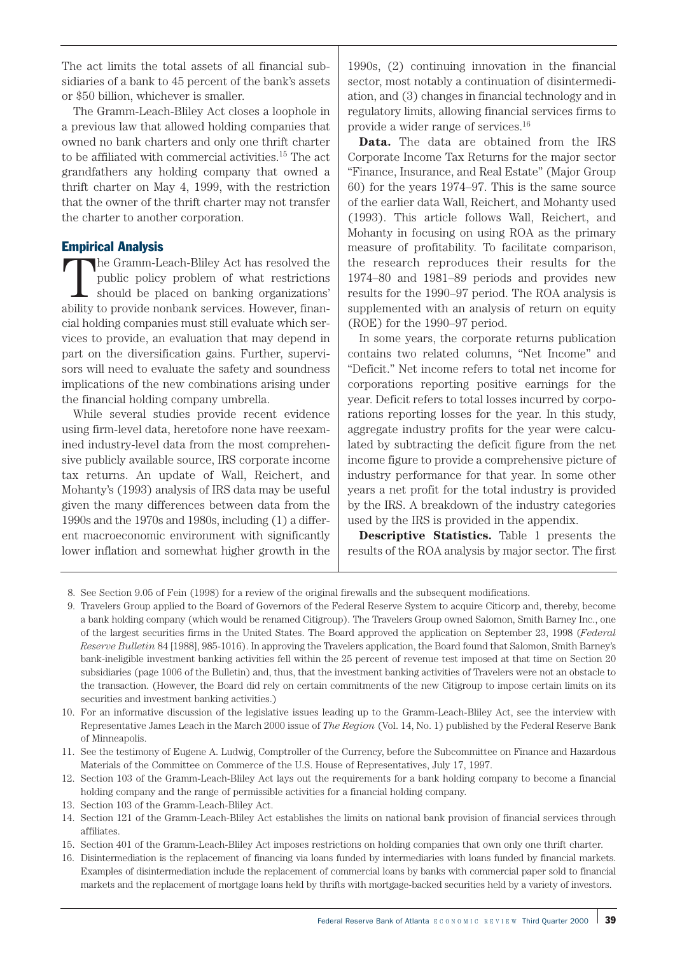The act limits the total assets of all financial subsidiaries of a bank to 45 percent of the bank's assets or \$50 billion, whichever is smaller.

The Gramm-Leach-Bliley Act closes a loophole in a previous law that allowed holding companies that owned no bank charters and only one thrift charter to be affiliated with commercial activities.15 The act grandfathers any holding company that owned a thrift charter on May 4, 1999, with the restriction that the owner of the thrift charter may not transfer the charter to another corporation.

# Empirical Analysis

The Gramm-Leach-Bliley Act has resolved the<br>public policy problem of what restrictions<br>should be placed on banking organizations'<br>hility to provide popperly continue Houveur finen public policy problem of what restrictions ability to provide nonbank services. However, financial holding companies must still evaluate which services to provide, an evaluation that may depend in part on the diversification gains. Further, supervisors will need to evaluate the safety and soundness implications of the new combinations arising under the financial holding company umbrella.

While several studies provide recent evidence using firm-level data, heretofore none have reexamined industry-level data from the most comprehensive publicly available source, IRS corporate income tax returns. An update of Wall, Reichert, and Mohanty's (1993) analysis of IRS data may be useful given the many differences between data from the 1990s and the 1970s and 1980s, including (1) a different macroeconomic environment with significantly lower inflation and somewhat higher growth in the

1990s, (2) continuing innovation in the financial sector, most notably a continuation of disintermediation, and (3) changes in financial technology and in regulatory limits, allowing financial services firms to provide a wider range of services.16

**Data.** The data are obtained from the IRS Corporate Income Tax Returns for the major sector "Finance, Insurance, and Real Estate" (Major Group 60) for the years 1974–97. This is the same source of the earlier data Wall, Reichert, and Mohanty used (1993). This article follows Wall, Reichert, and Mohanty in focusing on using ROA as the primary measure of profitability. To facilitate comparison, the research reproduces their results for the 1974–80 and 1981–89 periods and provides new results for the 1990–97 period. The ROA analysis is supplemented with an analysis of return on equity (ROE) for the 1990–97 period.

In some years, the corporate returns publication contains two related columns, "Net Income" and "Deficit." Net income refers to total net income for corporations reporting positive earnings for the year. Deficit refers to total losses incurred by corporations reporting losses for the year. In this study, aggregate industry profits for the year were calculated by subtracting the deficit figure from the net income figure to provide a comprehensive picture of industry performance for that year. In some other years a net profit for the total industry is provided by the IRS. A breakdown of the industry categories used by the IRS is provided in the appendix.

**Descriptive Statistics.** Table 1 presents the results of the ROA analysis by major sector. The first

8. See Section 9.05 of Fein (1998) for a review of the original firewalls and the subsequent modifications.

9. Travelers Group applied to the Board of Governors of the Federal Reserve System to acquire Citicorp and, thereby, become a bank holding company (which would be renamed Citigroup). The Travelers Group owned Salomon, Smith Barney Inc., one of the largest securities firms in the United States. The Board approved the application on September 23, 1998 (*Federal Reserve Bulletin* 84 [1988], 985-1016). In approving the Travelers application, the Board found that Salomon, Smith Barney's bank-ineligible investment banking activities fell within the 25 percent of revenue test imposed at that time on Section 20 subsidiaries (page 1006 of the Bulletin) and, thus, that the investment banking activities of Travelers were not an obstacle to the transaction. (However, the Board did rely on certain commitments of the new Citigroup to impose certain limits on its securities and investment banking activities.)

10. For an informative discussion of the legislative issues leading up to the Gramm-Leach-Bliley Act, see the interview with Representative James Leach in the March 2000 issue of *The Region* (Vol. 14, No. 1) published by the Federal Reserve Bank of Minneapolis.

11. See the testimony of Eugene A. Ludwig, Comptroller of the Currency, before the Subcommittee on Finance and Hazardous Materials of the Committee on Commerce of the U.S. House of Representatives, July 17, 1997.

12. Section 103 of the Gramm-Leach-Bliley Act lays out the requirements for a bank holding company to become a financial holding company and the range of permissible activities for a financial holding company.

- 13. Section 103 of the Gramm-Leach-Bliley Act.
- 14. Section 121 of the Gramm-Leach-Bliley Act establishes the limits on national bank provision of financial services through affiliates.
- 15. Section 401 of the Gramm-Leach-Bliley Act imposes restrictions on holding companies that own only one thrift charter.
- 16. Disintermediation is the replacement of financing via loans funded by intermediaries with loans funded by financial markets. Examples of disintermediation include the replacement of commercial loans by banks with commercial paper sold to financial markets and the replacement of mortgage loans held by thrifts with mortgage-backed securities held by a variety of investors.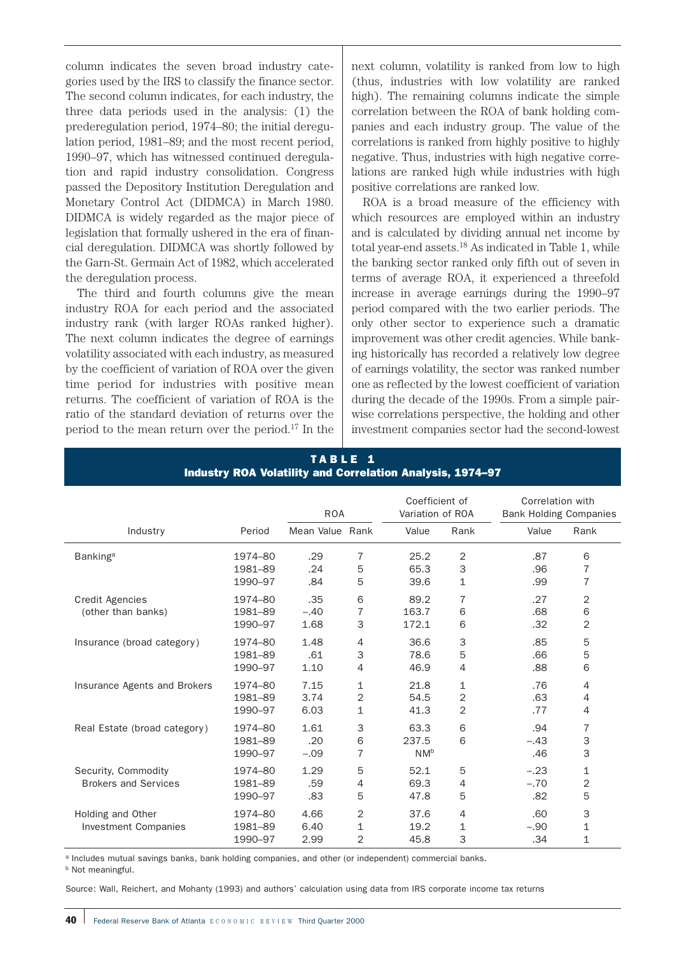column indicates the seven broad industry categories used by the IRS to classify the finance sector. The second column indicates, for each industry, the three data periods used in the analysis: (1) the prederegulation period, 1974–80; the initial deregulation period, 1981–89; and the most recent period, 1990–97, which has witnessed continued deregulation and rapid industry consolidation. Congress passed the Depository Institution Deregulation and Monetary Control Act (DIDMCA) in March 1980. DIDMCA is widely regarded as the major piece of legislation that formally ushered in the era of financial deregulation. DIDMCA was shortly followed by the Garn-St. Germain Act of 1982, which accelerated the deregulation process.

The third and fourth columns give the mean industry ROA for each period and the associated industry rank (with larger ROAs ranked higher). The next column indicates the degree of earnings volatility associated with each industry, as measured by the coefficient of variation of ROA over the given time period for industries with positive mean returns. The coefficient of variation of ROA is the ratio of the standard deviation of returns over the period to the mean return over the period.17 In the

next column, volatility is ranked from low to high (thus, industries with low volatility are ranked high). The remaining columns indicate the simple correlation between the ROA of bank holding companies and each industry group. The value of the correlations is ranked from highly positive to highly negative. Thus, industries with high negative correlations are ranked high while industries with high positive correlations are ranked low.

ROA is a broad measure of the efficiency with which resources are employed within an industry and is calculated by dividing annual net income by total year-end assets.18 As indicated in Table 1, while the banking sector ranked only fifth out of seven in terms of average ROA, it experienced a threefold increase in average earnings during the 1990–97 period compared with the two earlier periods. The only other sector to experience such a dramatic improvement was other credit agencies. While banking historically has recorded a relatively low degree of earnings volatility, the sector was ranked number one as reflected by the lowest coefficient of variation during the decade of the 1990s. From a simple pairwise correlations perspective, the holding and other investment companies sector had the second-lowest

|                              |                    | <b>ROA</b>      |                   | Coefficient of<br>Variation of ROA |                                  | Correlation with<br><b>Bank Holding Companies</b> |                                  |
|------------------------------|--------------------|-----------------|-------------------|------------------------------------|----------------------------------|---------------------------------------------------|----------------------------------|
| Industry                     | Period             | Mean Value Rank |                   | Value                              | Rank                             | Value                                             | Rank                             |
| Banking <sup>a</sup>         | 1974-80            | .29             | 7                 | 25.2                               | $\overline{2}$                   | .87                                               | 6                                |
|                              | 1981-89<br>1990-97 | .24<br>.84      | 5<br>5            | 65.3<br>39.6                       | 3<br>$\mathbf{1}$                | .96<br>.99                                        | $\overline{7}$<br>$\overline{7}$ |
| <b>Credit Agencies</b>       | 1974-80            | .35             | 6                 | 89.2                               | 7                                | .27                                               | 2                                |
| (other than banks)           | 1981-89<br>1990-97 | $-.40$<br>1.68  | 7<br>3            | 163.7<br>172.1                     | 6<br>6                           | .68<br>.32                                        | 6<br>2                           |
| Insurance (broad category)   | 1974-80            | 1.48            | 4                 | 36.6                               | 3                                | .85                                               | 5                                |
|                              | 1981-89<br>1990-97 | .61<br>1.10     | 3<br>4            | 78.6<br>46.9                       | 5<br>$\overline{4}$              | .66<br>.88                                        | 5<br>6                           |
| Insurance Agents and Brokers | 1974-80            | 7.15            | $\mathbf 1$       | 21.8                               | 1                                | .76                                               | 4                                |
|                              | 1981-89<br>1990-97 | 3.74<br>6.03    | 2<br>$\mathbf{1}$ | 54.5<br>41.3                       | $\overline{2}$<br>$\overline{2}$ | .63<br>.77                                        | 4<br>4                           |
| Real Estate (broad category) | 1974-80            | 1.61            | 3                 | 63.3                               | 6                                | .94                                               | $\overline{7}$                   |
|                              | 1981-89<br>1990-97 | .20<br>$-.09$   | 6<br>7            | 237.5<br>NM <sup>b</sup>           | 6                                | $-.43$<br>.46                                     | 3<br>3                           |
| Security, Commodity          | 1974-80            | 1.29            | 5                 | 52.1                               | 5                                | $-.23$                                            | 1                                |
| <b>Brokers and Services</b>  | 1981-89<br>1990-97 | .59<br>.83      | 4<br>5            | 69.3<br>47.8                       | $\overline{4}$<br>5              | $-.70$<br>.82                                     | $\overline{2}$<br>5              |
| Holding and Other            | 1974-80            | 4.66            | $\overline{2}$    | 37.6                               | $\overline{4}$                   | .60                                               | 3                                |
| <b>Investment Companies</b>  | 1981-89<br>1990-97 | 6.40<br>2.99    | 1<br>2            | 19.2<br>45.8                       | 1<br>3                           | $-.90$<br>.34                                     | 1<br>1                           |

#### TABLE 1 Industry ROA Volatility and Correlation Analysis, 1974–97

a Includes mutual savings banks, bank holding companies, and other (or independent) commercial banks.

**b** Not meaningful.

Source: Wall, Reichert, and Mohanty (1993) and authors' calculation using data from IRS corporate income tax returns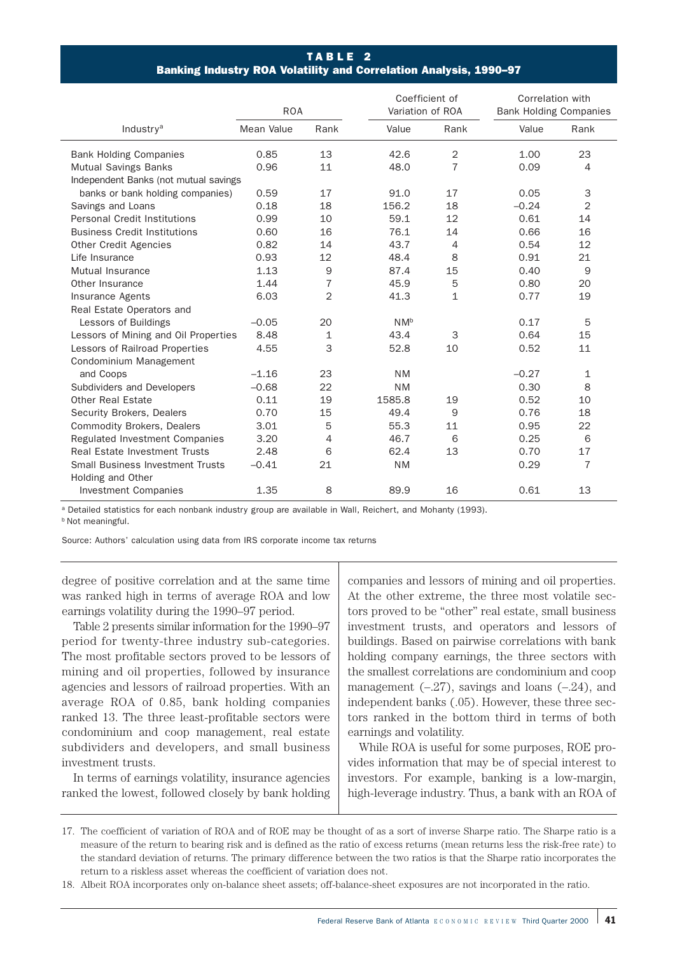# TABLE 2 Banking Industry ROA Volatility and Correlation Analysis, 1990–97

|                                         | <b>ROA</b> |                | Coefficient of<br>Variation of ROA |              | Correlation with<br><b>Bank Holding Companies</b> |                |  |
|-----------------------------------------|------------|----------------|------------------------------------|--------------|---------------------------------------------------|----------------|--|
| Industry <sup>a</sup>                   | Mean Value | Rank           | Value                              | Rank         | Value                                             | Rank           |  |
| <b>Bank Holding Companies</b>           | 0.85       | 13             | 42.6                               | 2            | 1.00                                              | 23             |  |
| <b>Mutual Savings Banks</b>             | 0.96       | 11             | 48.0                               | 7            | 0.09                                              | 4              |  |
| Independent Banks (not mutual savings   |            |                |                                    |              |                                                   |                |  |
| banks or bank holding companies)        | 0.59       | 17             | 91.0                               | 17           | 0.05                                              | 3              |  |
| Savings and Loans                       | 0.18       | 18             | 156.2                              | 18           | $-0.24$                                           | $\overline{2}$ |  |
| Personal Credit Institutions            | 0.99       | 10             | 59.1                               | 12           | 0.61                                              | 14             |  |
| <b>Business Credit Institutions</b>     | 0.60       | 16             | 76.1                               | 14           | 0.66                                              | 16             |  |
| <b>Other Credit Agencies</b>            | 0.82       | 14             | 43.7                               | 4            | 0.54                                              | 12             |  |
| Life Insurance                          | 0.93       | 12             | 48.4                               | 8            | 0.91                                              | 21             |  |
| Mutual Insurance                        | 1.13       | 9              | 87.4                               | 15           | 0.40                                              | 9              |  |
| Other Insurance                         | 1.44       | $\overline{7}$ | 45.9                               | 5            | 0.80                                              | 20             |  |
| Insurance Agents                        | 6.03       | $\overline{2}$ | 41.3                               | $\mathbf{1}$ | 0.77                                              | 19             |  |
| Real Estate Operators and               |            |                |                                    |              |                                                   |                |  |
| Lessors of Buildings                    | $-0.05$    | 20             | N <sub>Nb</sub>                    |              | 0.17                                              | 5              |  |
| Lessors of Mining and Oil Properties    | 8.48       | $\mathbf{1}$   | 43.4                               | 3            | 0.64                                              | 15             |  |
| Lessors of Railroad Properties          | 4.55       | 3              | 52.8                               | 10           | 0.52                                              | 11             |  |
| Condominium Management                  |            |                |                                    |              |                                                   |                |  |
| and Coops                               | $-1.16$    | 23             | <b>NM</b>                          |              | $-0.27$                                           | $\mathbf{1}$   |  |
| Subdividers and Developers              | $-0.68$    | 22             | <b>NM</b>                          |              | 0.30                                              | 8              |  |
| <b>Other Real Estate</b>                | 0.11       | 19             | 1585.8                             | 19           | 0.52                                              | 10             |  |
| Security Brokers, Dealers               | 0.70       | 15             | 49.4                               | 9            | 0.76                                              | 18             |  |
| <b>Commodity Brokers, Dealers</b>       | 3.01       | 5              | 55.3                               | 11           | 0.95                                              | 22             |  |
| Regulated Investment Companies          | 3.20       | $\overline{4}$ | 46.7                               | 6            | 0.25                                              | 6              |  |
| Real Estate Investment Trusts           | 2.48       | 6              | 62.4                               | 13           | 0.70                                              | 17             |  |
| <b>Small Business Investment Trusts</b> | $-0.41$    | 21             | <b>NM</b>                          |              | 0.29                                              | $\overline{7}$ |  |
| Holding and Other                       |            |                |                                    |              |                                                   |                |  |
| <b>Investment Companies</b>             | 1.35       | 8              | 89.9                               | 16           | 0.61                                              | 13             |  |

a Detailed statistics for each nonbank industry group are available in Wall, Reichert, and Mohanty (1993). **b** Not meaningful.

Source: Authors' calculation using data from IRS corporate income tax returns

degree of positive correlation and at the same time was ranked high in terms of average ROA and low earnings volatility during the 1990–97 period.

Table 2 presents similar information for the 1990–97 period for twenty-three industry sub-categories. The most profitable sectors proved to be lessors of mining and oil properties, followed by insurance agencies and lessors of railroad properties. With an average ROA of 0.85, bank holding companies ranked 13. The three least-profitable sectors were condominium and coop management, real estate subdividers and developers, and small business investment trusts.

In terms of earnings volatility, insurance agencies ranked the lowest, followed closely by bank holding companies and lessors of mining and oil properties. At the other extreme, the three most volatile sectors proved to be "other" real estate, small business investment trusts, and operators and lessors of buildings. Based on pairwise correlations with bank holding company earnings, the three sectors with the smallest correlations are condominium and coop management  $(-.27)$ , savings and loans  $(-.24)$ , and independent banks (.05). However, these three sectors ranked in the bottom third in terms of both earnings and volatility.

While ROA is useful for some purposes, ROE provides information that may be of special interest to investors. For example, banking is a low-margin, high-leverage industry. Thus, a bank with an ROA of

18. Albeit ROA incorporates only on-balance sheet assets; off-balance-sheet exposures are not incorporated in the ratio.

<sup>17.</sup> The coefficient of variation of ROA and of ROE may be thought of as a sort of inverse Sharpe ratio. The Sharpe ratio is a measure of the return to bearing risk and is defined as the ratio of excess returns (mean returns less the risk-free rate) to the standard deviation of returns. The primary difference between the two ratios is that the Sharpe ratio incorporates the return to a riskless asset whereas the coefficient of variation does not.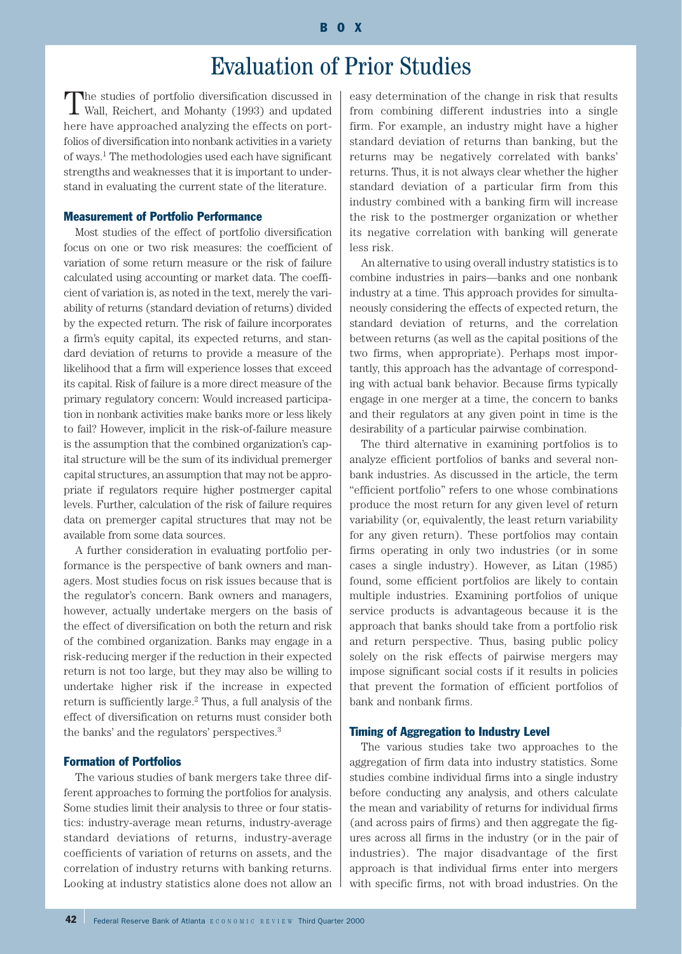# Evaluation of Prior Studies

The studies of portfolio diversification discussed in Wall, Reichert, and Mohanty (1993) and updated here have approached analyzing the effects on portfolios of diversification into nonbank activities in a variety of ways.1 The methodologies used each have significant strengths and weaknesses that it is important to understand in evaluating the current state of the literature.

#### Measurement of Portfolio Performance

Most studies of the effect of portfolio diversification focus on one or two risk measures: the coefficient of variation of some return measure or the risk of failure calculated using accounting or market data. The coefficient of variation is, as noted in the text, merely the variability of returns (standard deviation of returns) divided by the expected return. The risk of failure incorporates a firm's equity capital, its expected returns, and standard deviation of returns to provide a measure of the likelihood that a firm will experience losses that exceed its capital. Risk of failure is a more direct measure of the primary regulatory concern: Would increased participation in nonbank activities make banks more or less likely to fail? However, implicit in the risk-of-failure measure is the assumption that the combined organization's capital structure will be the sum of its individual premerger capital structures, an assumption that may not be appropriate if regulators require higher postmerger capital levels. Further, calculation of the risk of failure requires data on premerger capital structures that may not be available from some data sources.

A further consideration in evaluating portfolio performance is the perspective of bank owners and managers. Most studies focus on risk issues because that is the regulator's concern. Bank owners and managers, however, actually undertake mergers on the basis of the effect of diversification on both the return and risk of the combined organization. Banks may engage in a risk-reducing merger if the reduction in their expected return is not too large, but they may also be willing to undertake higher risk if the increase in expected return is sufficiently large.2 Thus, a full analysis of the effect of diversification on returns must consider both the banks' and the regulators' perspectives.3

#### Formation of Portfolios

The various studies of bank mergers take three different approaches to forming the portfolios for analysis. Some studies limit their analysis to three or four statistics: industry-average mean returns, industry-average standard deviations of returns, industry-average coefficients of variation of returns on assets, and the correlation of industry returns with banking returns. Looking at industry statistics alone does not allow an easy determination of the change in risk that results from combining different industries into a single firm. For example, an industry might have a higher standard deviation of returns than banking, but the returns may be negatively correlated with banks' returns. Thus, it is not always clear whether the higher standard deviation of a particular firm from this industry combined with a banking firm will increase the risk to the postmerger organization or whether its negative correlation with banking will generate less risk.

An alternative to using overall industry statistics is to combine industries in pairs—banks and one nonbank industry at a time. This approach provides for simultaneously considering the effects of expected return, the standard deviation of returns, and the correlation between returns (as well as the capital positions of the two firms, when appropriate). Perhaps most importantly, this approach has the advantage of corresponding with actual bank behavior. Because firms typically engage in one merger at a time, the concern to banks and their regulators at any given point in time is the desirability of a particular pairwise combination.

The third alternative in examining portfolios is to analyze efficient portfolios of banks and several nonbank industries. As discussed in the article, the term "efficient portfolio" refers to one whose combinations produce the most return for any given level of return variability (or, equivalently, the least return variability for any given return). These portfolios may contain firms operating in only two industries (or in some cases a single industry). However, as Litan (1985) found, some efficient portfolios are likely to contain multiple industries. Examining portfolios of unique service products is advantageous because it is the approach that banks should take from a portfolio risk and return perspective. Thus, basing public policy solely on the risk effects of pairwise mergers may impose significant social costs if it results in policies that prevent the formation of efficient portfolios of bank and nonbank firms.

# Timing of Aggregation to Industry Level

The various studies take two approaches to the aggregation of firm data into industry statistics. Some studies combine individual firms into a single industry before conducting any analysis, and others calculate the mean and variability of returns for individual firms (and across pairs of firms) and then aggregate the figures across all firms in the industry (or in the pair of industries). The major disadvantage of the first approach is that individual firms enter into mergers with specific firms, not with broad industries. On the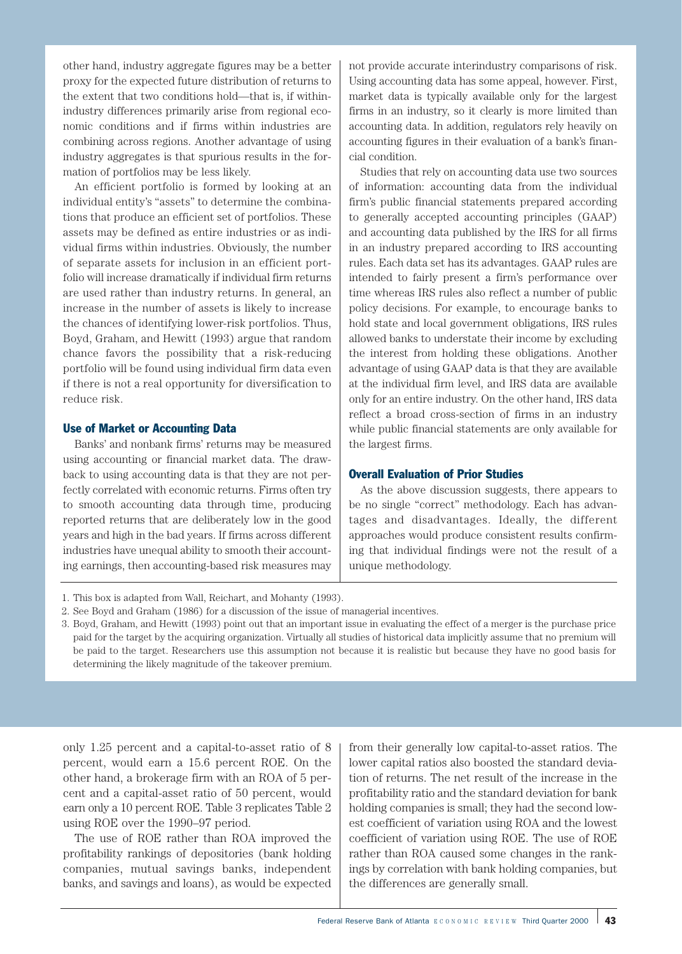other hand, industry aggregate figures may be a better proxy for the expected future distribution of returns to the extent that two conditions hold—that is, if withinindustry differences primarily arise from regional economic conditions and if firms within industries are combining across regions. Another advantage of using industry aggregates is that spurious results in the formation of portfolios may be less likely.

An efficient portfolio is formed by looking at an individual entity's "assets" to determine the combinations that produce an efficient set of portfolios. These assets may be defined as entire industries or as individual firms within industries. Obviously, the number of separate assets for inclusion in an efficient portfolio will increase dramatically if individual firm returns are used rather than industry returns. In general, an increase in the number of assets is likely to increase the chances of identifying lower-risk portfolios. Thus, Boyd, Graham, and Hewitt (1993) argue that random chance favors the possibility that a risk-reducing portfolio will be found using individual firm data even if there is not a real opportunity for diversification to reduce risk.

#### Use of Market or Accounting Data

Banks' and nonbank firms' returns may be measured using accounting or financial market data. The drawback to using accounting data is that they are not perfectly correlated with economic returns. Firms often try to smooth accounting data through time, producing reported returns that are deliberately low in the good years and high in the bad years. If firms across different industries have unequal ability to smooth their accounting earnings, then accounting-based risk measures may

not provide accurate interindustry comparisons of risk. Using accounting data has some appeal, however. First, market data is typically available only for the largest firms in an industry, so it clearly is more limited than accounting data. In addition, regulators rely heavily on accounting figures in their evaluation of a bank's financial condition.

Studies that rely on accounting data use two sources of information: accounting data from the individual firm's public financial statements prepared according to generally accepted accounting principles (GAAP) and accounting data published by the IRS for all firms in an industry prepared according to IRS accounting rules. Each data set has its advantages. GAAP rules are intended to fairly present a firm's performance over time whereas IRS rules also reflect a number of public policy decisions. For example, to encourage banks to hold state and local government obligations, IRS rules allowed banks to understate their income by excluding the interest from holding these obligations. Another advantage of using GAAP data is that they are available at the individual firm level, and IRS data are available only for an entire industry. On the other hand, IRS data reflect a broad cross-section of firms in an industry while public financial statements are only available for the largest firms.

#### Overall Evaluation of Prior Studies

As the above discussion suggests, there appears to be no single "correct" methodology. Each has advantages and disadvantages. Ideally, the different approaches would produce consistent results confirming that individual findings were not the result of a unique methodology.

3. Boyd, Graham, and Hewitt (1993) point out that an important issue in evaluating the effect of a merger is the purchase price paid for the target by the acquiring organization. Virtually all studies of historical data implicitly assume that no premium will be paid to the target. Researchers use this assumption not because it is realistic but because they have no good basis for determining the likely magnitude of the takeover premium.

only 1.25 percent and a capital-to-asset ratio of 8 percent, would earn a 15.6 percent ROE. On the other hand, a brokerage firm with an ROA of 5 percent and a capital-asset ratio of 50 percent, would earn only a 10 percent ROE. Table 3 replicates Table 2 using ROE over the 1990–97 period.

The use of ROE rather than ROA improved the profitability rankings of depositories (bank holding companies, mutual savings banks, independent banks, and savings and loans), as would be expected

from their generally low capital-to-asset ratios. The lower capital ratios also boosted the standard deviation of returns. The net result of the increase in the profitability ratio and the standard deviation for bank holding companies is small; they had the second lowest coefficient of variation using ROA and the lowest coefficient of variation using ROE. The use of ROE rather than ROA caused some changes in the rankings by correlation with bank holding companies, but the differences are generally small.

<sup>1.</sup> This box is adapted from Wall, Reichart, and Mohanty (1993).

<sup>2.</sup> See Boyd and Graham (1986) for a discussion of the issue of managerial incentives.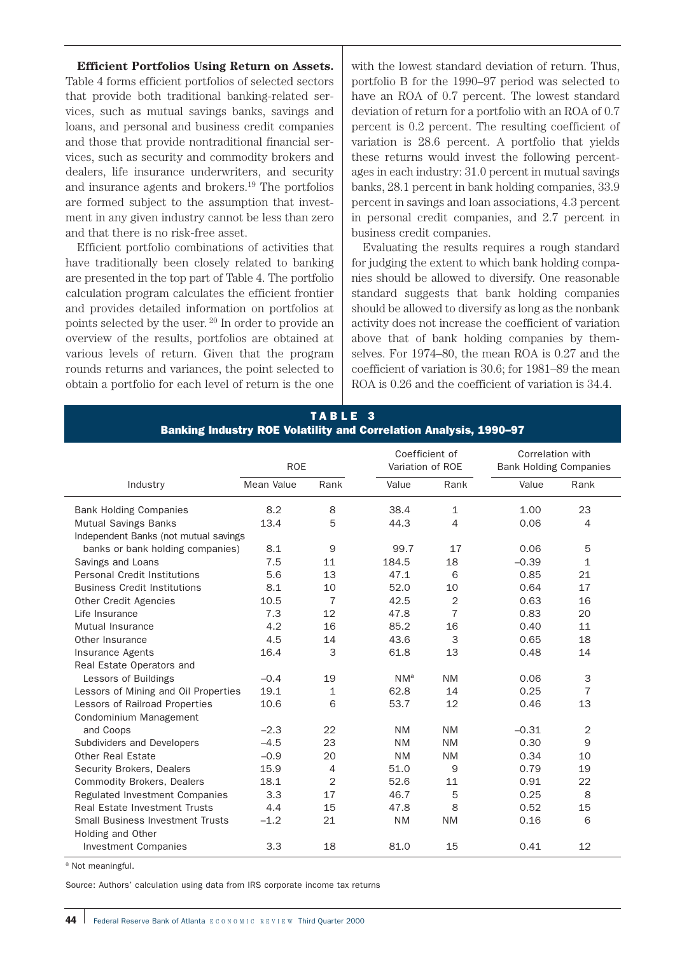**Efficient Portfolios Using Return on Assets.** Table 4 forms efficient portfolios of selected sectors that provide both traditional banking-related services, such as mutual savings banks, savings and loans, and personal and business credit companies and those that provide nontraditional financial services, such as security and commodity brokers and dealers, life insurance underwriters, and security and insurance agents and brokers.19 The portfolios are formed subject to the assumption that investment in any given industry cannot be less than zero and that there is no risk-free asset.

Efficient portfolio combinations of activities that have traditionally been closely related to banking are presented in the top part of Table 4. The portfolio calculation program calculates the efficient frontier and provides detailed information on portfolios at points selected by the user. <sup>20</sup> In order to provide an overview of the results, portfolios are obtained at various levels of return. Given that the program rounds returns and variances, the point selected to obtain a portfolio for each level of return is the one

with the lowest standard deviation of return. Thus, portfolio B for the 1990–97 period was selected to have an ROA of 0.7 percent. The lowest standard deviation of return for a portfolio with an ROA of 0.7 percent is 0.2 percent. The resulting coefficient of variation is 28.6 percent. A portfolio that yields these returns would invest the following percentages in each industry: 31.0 percent in mutual savings banks, 28.1 percent in bank holding companies, 33.9 percent in savings and loan associations, 4.3 percent in personal credit companies, and 2.7 percent in business credit companies.

Evaluating the results requires a rough standard for judging the extent to which bank holding companies should be allowed to diversify. One reasonable standard suggests that bank holding companies should be allowed to diversify as long as the nonbank activity does not increase the coefficient of variation above that of bank holding companies by themselves. For 1974–80, the mean ROA is 0.27 and the coefficient of variation is 30.6; for 1981–89 the mean ROA is 0.26 and the coefficient of variation is 34.4.

|                                         | <b>ROE</b> |                | Coefficient of<br>Variation of ROE |                | Correlation with<br><b>Bank Holding Companies</b> |                |  |
|-----------------------------------------|------------|----------------|------------------------------------|----------------|---------------------------------------------------|----------------|--|
| Industry                                | Mean Value | Rank           | Value                              | Rank           | Value                                             | Rank           |  |
| <b>Bank Holding Companies</b>           | 8.2        | 8              | 38.4                               | 1              | 1.00                                              | 23             |  |
| <b>Mutual Savings Banks</b>             | 13.4       | 5              | 44.3                               | $\overline{4}$ | 0.06                                              | 4              |  |
| Independent Banks (not mutual savings   |            |                |                                    |                |                                                   |                |  |
| banks or bank holding companies)        | 8.1        | 9              | 99.7                               | 17             | 0.06                                              | 5              |  |
| Savings and Loans                       | 7.5        | 11             | 184.5                              | 18             | $-0.39$                                           | $\mathbf{1}$   |  |
| <b>Personal Credit Institutions</b>     | 5.6        | 13             | 47.1                               | 6              | 0.85                                              | 21             |  |
| <b>Business Credit Institutions</b>     | 8.1        | 10             | 52.0                               | 10             | 0.64                                              | 17             |  |
| <b>Other Credit Agencies</b>            | 10.5       | $\overline{7}$ | 42.5                               | $\overline{2}$ | 0.63                                              | 16             |  |
| Life Insurance                          | 7.3        | 12             | 47.8                               | $\overline{7}$ | 0.83                                              | 20             |  |
| Mutual Insurance                        | 4.2        | 16             | 85.2                               | 16             | 0.40                                              | 11             |  |
| Other Insurance                         | 4.5        | 14             | 43.6                               | 3              | 0.65                                              | 18             |  |
| <b>Insurance Agents</b>                 | 16.4       | 3              | 61.8                               | 13             | 0.48                                              | 14             |  |
| Real Estate Operators and               |            |                |                                    |                |                                                   |                |  |
| Lessors of Buildings                    | $-0.4$     | 19             | $NM^a$                             | <b>NM</b>      | 0.06                                              | 3              |  |
| Lessors of Mining and Oil Properties    | 19.1       | $\mathbf{1}$   | 62.8                               | 14             | 0.25                                              | $\overline{7}$ |  |
| Lessors of Railroad Properties          | 10.6       | 6              | 53.7                               | 12             | 0.46                                              | 13             |  |
| Condominium Management                  |            |                |                                    |                |                                                   |                |  |
| and Coops                               | $-2.3$     | 22             | <b>NM</b>                          | <b>NM</b>      | $-0.31$                                           | $\overline{2}$ |  |
| Subdividers and Developers              | $-4.5$     | 23             | <b>NM</b>                          | <b>NM</b>      | 0.30                                              | 9              |  |
| Other Real Estate                       | $-0.9$     | 20             | <b>NM</b>                          | <b>NM</b>      | 0.34                                              | 10             |  |
| Security Brokers, Dealers               | 15.9       | $\overline{4}$ | 51.0                               | 9              | 0.79                                              | 19             |  |
| <b>Commodity Brokers, Dealers</b>       | 18.1       | $\overline{2}$ | 52.6                               | 11             | 0.91                                              | 22             |  |
| Regulated Investment Companies          | 3.3        | 17             | 46.7                               | 5              | 0.25                                              | 8              |  |
| <b>Real Estate Investment Trusts</b>    | 4.4        | 15             | 47.8                               | 8              | 0.52                                              | 15             |  |
| <b>Small Business Investment Trusts</b> | $-1.2$     | 21             | <b>NM</b>                          | <b>NM</b>      | 0.16                                              | 6              |  |
| Holding and Other                       |            |                |                                    |                |                                                   |                |  |
| <b>Investment Companies</b>             | 3.3        | 18             | 81.0                               | 15             | 0.41                                              | 12             |  |

TABLE 3 Banking Industry ROE Volatility and Correlation Analysis, 1990–97

a Not meaningful.

Source: Authors' calculation using data from IRS corporate income tax returns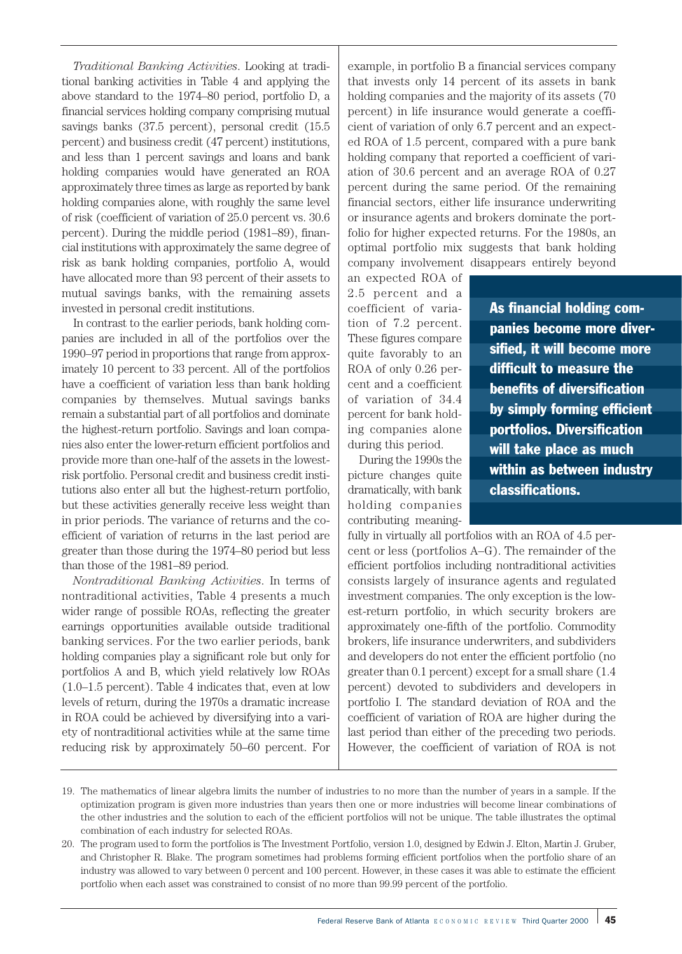*Traditional Banking Activities*. Looking at traditional banking activities in Table 4 and applying the above standard to the 1974–80 period, portfolio D, a financial services holding company comprising mutual savings banks (37.5 percent), personal credit (15.5 percent) and business credit (47 percent) institutions, and less than 1 percent savings and loans and bank holding companies would have generated an ROA approximately three times as large as reported by bank holding companies alone, with roughly the same level of risk (coefficient of variation of 25.0 percent vs. 30.6 percent). During the middle period (1981–89), financial institutions with approximately the same degree of risk as bank holding companies, portfolio A, would have allocated more than 93 percent of their assets to mutual savings banks, with the remaining assets invested in personal credit institutions.

In contrast to the earlier periods, bank holding companies are included in all of the portfolios over the 1990–97 period in proportions that range from approximately 10 percent to 33 percent. All of the portfolios have a coefficient of variation less than bank holding companies by themselves. Mutual savings banks remain a substantial part of all portfolios and dominate the highest-return portfolio. Savings and loan companies also enter the lower-return efficient portfolios and provide more than one-half of the assets in the lowestrisk portfolio. Personal credit and business credit institutions also enter all but the highest-return portfolio, but these activities generally receive less weight than in prior periods. The variance of returns and the coefficient of variation of returns in the last period are greater than those during the 1974–80 period but less than those of the 1981–89 period.

*Nontraditional Banking Activities*. In terms of nontraditional activities, Table 4 presents a much wider range of possible ROAs, reflecting the greater earnings opportunities available outside traditional banking services. For the two earlier periods, bank holding companies play a significant role but only for portfolios A and B, which yield relatively low ROAs (1.0–1.5 percent). Table 4 indicates that, even at low levels of return, during the 1970s a dramatic increase in ROA could be achieved by diversifying into a variety of nontraditional activities while at the same time reducing risk by approximately 50–60 percent. For

example, in portfolio B a financial services company that invests only 14 percent of its assets in bank holding companies and the majority of its assets (70 percent) in life insurance would generate a coefficient of variation of only 6.7 percent and an expected ROA of 1.5 percent, compared with a pure bank holding company that reported a coefficient of variation of 30.6 percent and an average ROA of 0.27 percent during the same period. Of the remaining financial sectors, either life insurance underwriting or insurance agents and brokers dominate the portfolio for higher expected returns. For the 1980s, an optimal portfolio mix suggests that bank holding company involvement disappears entirely beyond

an expected ROA of 2.5 percent and a coefficient of variation of 7.2 percent. These figures compare quite favorably to an ROA of only 0.26 percent and a coefficient of variation of 34.4 percent for bank holding companies alone during this period.

During the 1990s the picture changes quite dramatically, with bank holding companies contributing meaningAs financial holding companies become more diversified, it will become more difficult to measure the benefits of diversification by simply forming efficient portfolios. Diversification will take place as much within as between industry classifications.

fully in virtually all portfolios with an ROA of 4.5 percent or less (portfolios A–G). The remainder of the efficient portfolios including nontraditional activities consists largely of insurance agents and regulated investment companies. The only exception is the lowest-return portfolio, in which security brokers are approximately one-fifth of the portfolio. Commodity brokers, life insurance underwriters, and subdividers and developers do not enter the efficient portfolio (no greater than 0.1 percent) except for a small share (1.4 percent) devoted to subdividers and developers in portfolio I. The standard deviation of ROA and the coefficient of variation of ROA are higher during the last period than either of the preceding two periods. However, the coefficient of variation of ROA is not

<sup>19.</sup> The mathematics of linear algebra limits the number of industries to no more than the number of years in a sample. If the optimization program is given more industries than years then one or more industries will become linear combinations of the other industries and the solution to each of the efficient portfolios will not be unique. The table illustrates the optimal combination of each industry for selected ROAs.

<sup>20.</sup> The program used to form the portfolios is The Investment Portfolio, version 1.0, designed by Edwin J. Elton, Martin J. Gruber, and Christopher R. Blake. The program sometimes had problems forming efficient portfolios when the portfolio share of an industry was allowed to vary between 0 percent and 100 percent. However, in these cases it was able to estimate the efficient portfolio when each asset was constrained to consist of no more than 99.99 percent of the portfolio.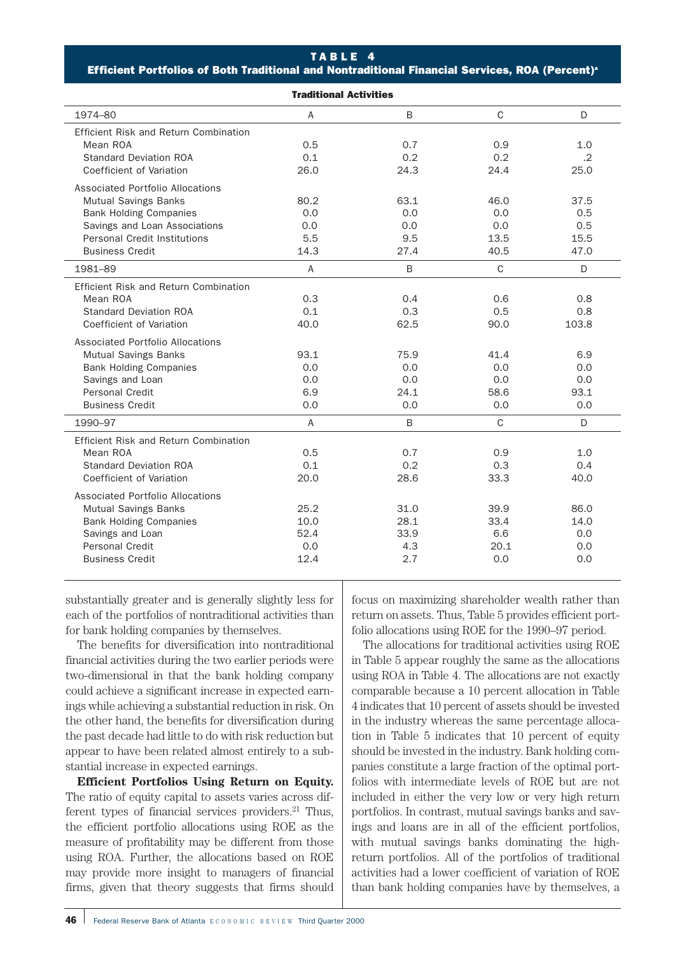#### TABLE 4

Efficient Portfolios of Both Traditional and Nontraditional Financial Services, ROA (Percent)<sup>®</sup>

| <b>Traditional Activities</b>         |                |      |              |            |  |  |  |  |  |
|---------------------------------------|----------------|------|--------------|------------|--|--|--|--|--|
| 1974-80                               | $\overline{A}$ | B    | $\mathsf{C}$ | D          |  |  |  |  |  |
| Efficient Risk and Return Combination |                |      |              |            |  |  |  |  |  |
| Mean ROA                              | 0.5            | 0.7  | 0.9          | 1.0        |  |  |  |  |  |
| <b>Standard Deviation ROA</b>         | 0.1            | 0.2  | 0.2          | $\cdot$ .2 |  |  |  |  |  |
| Coefficient of Variation              | 26.0           | 24.3 | 24.4         | 25.0       |  |  |  |  |  |
| Associated Portfolio Allocations      |                |      |              |            |  |  |  |  |  |
| <b>Mutual Savings Banks</b>           | 80.2           | 63.1 | 46.0         | 37.5       |  |  |  |  |  |
| <b>Bank Holding Companies</b>         | 0.0            | 0.0  | 0.0          | 0.5        |  |  |  |  |  |
| Savings and Loan Associations         | 0.0            | 0.0  | 0.0          | 0.5        |  |  |  |  |  |
| <b>Personal Credit Institutions</b>   | 5.5            | 9.5  | 13.5         | 15.5       |  |  |  |  |  |
| <b>Business Credit</b>                | 14.3           | 27.4 | 40.5         | 47.0       |  |  |  |  |  |
| 1981-89                               | $\overline{A}$ | B    | $\mathsf{C}$ | D          |  |  |  |  |  |
| Efficient Risk and Return Combination |                |      |              |            |  |  |  |  |  |
| Mean ROA                              | 0.3            | 0.4  | 0.6          | 0.8        |  |  |  |  |  |
| <b>Standard Deviation ROA</b>         | 0.1            | 0.3  | 0.5          | 0.8        |  |  |  |  |  |
| Coefficient of Variation              | 40.0           | 62.5 | 90.0         | 103.8      |  |  |  |  |  |
| Associated Portfolio Allocations      |                |      |              |            |  |  |  |  |  |
| <b>Mutual Savings Banks</b>           | 93.1           | 75.9 | 41.4         | 6.9        |  |  |  |  |  |
| <b>Bank Holding Companies</b>         | 0.0            | 0.0  | 0.0          | 0.0        |  |  |  |  |  |
| Savings and Loan                      | 0.0            | 0.0  | 0.0          | 0.0        |  |  |  |  |  |
| Personal Credit                       | 6.9            | 24.1 | 58.6         | 93.1       |  |  |  |  |  |
| <b>Business Credit</b>                | 0.0            | 0.0  | 0.0          | 0.0        |  |  |  |  |  |
| 1990-97                               | $\overline{A}$ | B    | C            | D          |  |  |  |  |  |
| Efficient Risk and Return Combination |                |      |              |            |  |  |  |  |  |
| Mean ROA                              | 0.5            | 0.7  | 0.9          | 1.0        |  |  |  |  |  |
| <b>Standard Deviation ROA</b>         | 0.1            | 0.2  | 0.3          | 0.4        |  |  |  |  |  |
| Coefficient of Variation              | 20.0           | 28.6 | 33.3         | 40.0       |  |  |  |  |  |
| Associated Portfolio Allocations      |                |      |              |            |  |  |  |  |  |
| <b>Mutual Savings Banks</b>           | 25.2           | 31.0 | 39.9         | 86.0       |  |  |  |  |  |
| <b>Bank Holding Companies</b>         | 10.0           | 28.1 | 33.4         | 14.0       |  |  |  |  |  |
| Savings and Loan                      | 52.4           | 33.9 | 6.6          | 0.0        |  |  |  |  |  |
| <b>Personal Credit</b>                | 0.0            | 4.3  | 20.1         | 0.0        |  |  |  |  |  |
| <b>Business Credit</b>                | 12.4           | 2.7  | 0.0          | 0.0        |  |  |  |  |  |
|                                       |                |      |              |            |  |  |  |  |  |

substantially greater and is generally slightly less for each of the portfolios of nontraditional activities than for bank holding companies by themselves.

The benefits for diversification into nontraditional financial activities during the two earlier periods were two-dimensional in that the bank holding company could achieve a significant increase in expected earnings while achieving a substantial reduction in risk. On the other hand, the benefits for diversification during the past decade had little to do with risk reduction but appear to have been related almost entirely to a substantial increase in expected earnings.

**Efficient Portfolios Using Return on Equity.** The ratio of equity capital to assets varies across different types of financial services providers.<sup>21</sup> Thus, the efficient portfolio allocations using ROE as the measure of profitability may be different from those using ROA. Further, the allocations based on ROE may provide more insight to managers of financial firms, given that theory suggests that firms should

focus on maximizing shareholder wealth rather than return on assets. Thus, Table 5 provides efficient portfolio allocations using ROE for the 1990–97 period.

The allocations for traditional activities using ROE in Table 5 appear roughly the same as the allocations using ROA in Table 4. The allocations are not exactly comparable because a 10 percent allocation in Table 4 indicates that 10 percent of assets should be invested in the industry whereas the same percentage allocation in Table 5 indicates that 10 percent of equity should be invested in the industry. Bank holding companies constitute a large fraction of the optimal portfolios with intermediate levels of ROE but are not included in either the very low or very high return portfolios. In contrast, mutual savings banks and savings and loans are in all of the efficient portfolios, with mutual savings banks dominating the highreturn portfolios. All of the portfolios of traditional activities had a lower coefficient of variation of ROE than bank holding companies have by themselves, a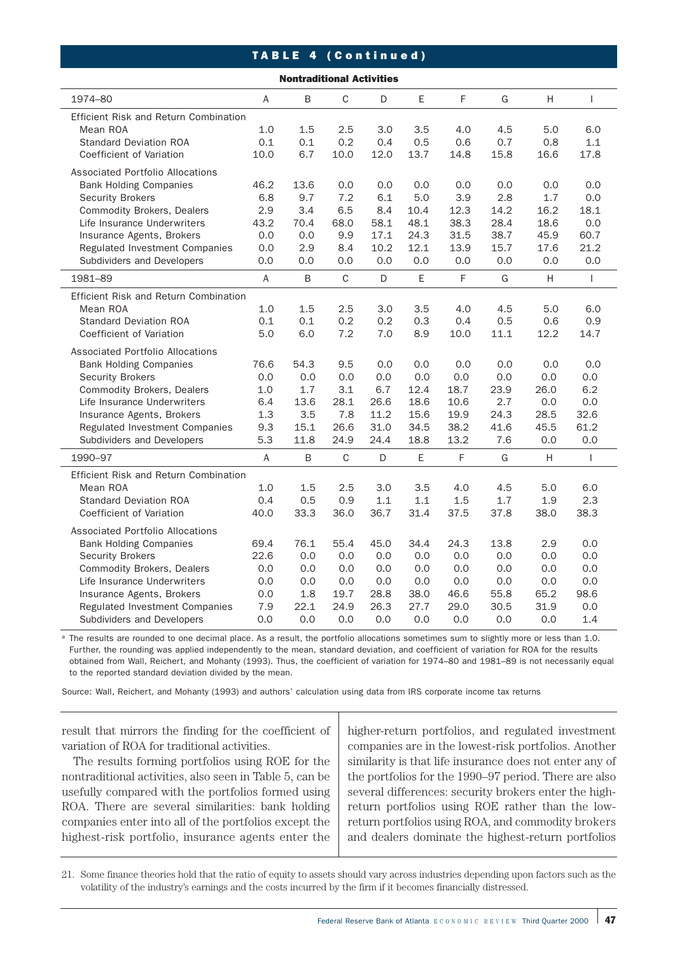# TABLE 4 (Continued)

| <b>Nontraditional Activities</b>      |                |      |              |      |      |      |      |      |      |
|---------------------------------------|----------------|------|--------------|------|------|------|------|------|------|
| 1974-80                               | A              | B    | C            | D    | E    | F    | G    | н    | T    |
| Efficient Risk and Return Combination |                |      |              |      |      |      |      |      |      |
| Mean ROA                              | 1.0            | 1.5  | 2.5          | 3.0  | 3.5  | 4.0  | 4.5  | 5.0  | 6.0  |
| <b>Standard Deviation ROA</b>         | 0.1            | 0.1  | 0.2          | 0.4  | 0.5  | 0.6  | 0.7  | 0.8  | 1.1  |
| Coefficient of Variation              | 10.0           | 6.7  | 10.0         | 12.0 | 13.7 | 14.8 | 15.8 | 16.6 | 17.8 |
| Associated Portfolio Allocations      |                |      |              |      |      |      |      |      |      |
| <b>Bank Holding Companies</b>         | 46.2           | 13.6 | 0.0          | 0.0  | 0.0  | 0.0  | 0.0  | 0.0  | 0.0  |
| <b>Security Brokers</b>               | 6.8            | 9.7  | 7.2          | 6.1  | 5.0  | 3.9  | 2.8  | 1.7  | 0.0  |
| <b>Commodity Brokers, Dealers</b>     | 2.9            | 3.4  | 6.5          | 8.4  | 10.4 | 12.3 | 14.2 | 16.2 | 18.1 |
| Life Insurance Underwriters           | 43.2           | 70.4 | 68.0         | 58.1 | 48.1 | 38.3 | 28.4 | 18.6 | 0.0  |
| Insurance Agents, Brokers             | 0.0            | 0.0  | 9.9          | 17.1 | 24.3 | 31.5 | 38.7 | 45.9 | 60.7 |
| Regulated Investment Companies        | 0.0            | 2.9  | 8.4          | 10.2 | 12.1 | 13.9 | 15.7 | 17.6 | 21.2 |
| Subdividers and Developers            | 0.0            | 0.0  | 0.0          | 0.0  | 0.0  | 0.0  | 0.0  | 0.0  | 0.0  |
| 1981-89                               | A              | B    | $\mathsf{C}$ | D    | E    | F    | G    | H    | T    |
| Efficient Risk and Return Combination |                |      |              |      |      |      |      |      |      |
| Mean ROA                              | 1.0            | 1.5  | 2.5          | 3.0  | 3.5  | 4.0  | 4.5  | 5.0  | 6.0  |
| <b>Standard Deviation ROA</b>         | 0.1            | 0.1  | 0.2          | 0.2  | 0.3  | 0.4  | 0.5  | 0.6  | 0.9  |
| Coefficient of Variation              | 5.0            | 6.0  | 7.2          | 7.0  | 8.9  | 10.0 | 11.1 | 12.2 | 14.7 |
| Associated Portfolio Allocations      |                |      |              |      |      |      |      |      |      |
| <b>Bank Holding Companies</b>         | 76.6           | 54.3 | 9.5          | 0.0  | 0.0  | 0.0  | 0.0  | 0.0  | 0.0  |
| <b>Security Brokers</b>               | 0.0            | 0.0  | 0.0          | 0.0  | 0.0  | 0.0  | 0.0  | 0.0  | 0.0  |
| <b>Commodity Brokers, Dealers</b>     | 1.0            | 1.7  | 3.1          | 6.7  | 12.4 | 18.7 | 23.9 | 26.0 | 6.2  |
| Life Insurance Underwriters           | 6.4            | 13.6 | 28.1         | 26.6 | 18.6 | 10.6 | 2.7  | 0.0  | 0.0  |
| Insurance Agents, Brokers             | 1.3            | 3.5  | 7.8          | 11.2 | 15.6 | 19.9 | 24.3 | 28.5 | 32.6 |
| Regulated Investment Companies        | 9.3            | 15.1 | 26.6         | 31.0 | 34.5 | 38.2 | 41.6 | 45.5 | 61.2 |
| Subdividers and Developers            | 5.3            | 11.8 | 24.9         | 24.4 | 18.8 | 13.2 | 7.6  | 0.0  | 0.0  |
| 1990-97                               | $\overline{A}$ | B    | $\mathbf C$  | D    | Ε    | F    | G    | H    | I    |
| Efficient Risk and Return Combination |                |      |              |      |      |      |      |      |      |
| Mean ROA                              | 1.0            | 1.5  | 2.5          | 3.0  | 3.5  | 4.0  | 4.5  | 5.0  | 6.0  |
| <b>Standard Deviation ROA</b>         | 0.4            | 0.5  | 0.9          | 1.1  | 1.1  | 1.5  | 1.7  | 1.9  | 2.3  |
| Coefficient of Variation              | 40.0           | 33.3 | 36.0         | 36.7 | 31.4 | 37.5 | 37.8 | 38.0 | 38.3 |
| Associated Portfolio Allocations      |                |      |              |      |      |      |      |      |      |
| <b>Bank Holding Companies</b>         | 69.4           | 76.1 | 55.4         | 45.0 | 34.4 | 24.3 | 13.8 | 2.9  | 0.0  |
| <b>Security Brokers</b>               | 22.6           | 0.0  | 0.0          | 0.0  | 0.0  | 0.0  | 0.0  | 0.0  | 0.0  |
| <b>Commodity Brokers, Dealers</b>     | 0.0            | 0.0  | 0.0          | 0.0  | 0.0  | 0.0  | 0.0  | 0.0  | 0.0  |
| Life Insurance Underwriters           | 0.0            | 0.0  | 0.0          | 0.0  | 0.0  | 0.0  | 0.0  | 0.0  | 0.0  |
| Insurance Agents, Brokers             | 0.0            | 1.8  | 19.7         | 28.8 | 38.0 | 46.6 | 55.8 | 65.2 | 98.6 |
| Regulated Investment Companies        | 7.9            | 22.1 | 24.9         | 26.3 | 27.7 | 29.0 | 30.5 | 31.9 | 0.0  |
| Subdividers and Developers            | 0.0            | 0.0  | 0.0          | 0.0  | 0.0  | 0.0  | 0.0  | 0.0  | 1.4  |

<sup>a</sup> The results are rounded to one decimal place. As a result, the portfolio allocations sometimes sum to slightly more or less than 1.0. Further, the rounding was applied independently to the mean, standard deviation, and coefficient of variation for ROA for the results obtained from Wall, Reichert, and Mohanty (1993). Thus, the coefficient of variation for 1974–80 and 1981–89 is not necessarily equal to the reported standard deviation divided by the mean.

Source: Wall, Reichert, and Mohanty (1993) and authors' calculation using data from IRS corporate income tax returns

result that mirrors the finding for the coefficient of variation of ROA for traditional activities.

The results forming portfolios using ROE for the nontraditional activities, also seen in Table 5, can be usefully compared with the portfolios formed using ROA. There are several similarities: bank holding companies enter into all of the portfolios except the highest-risk portfolio, insurance agents enter the

higher-return portfolios, and regulated investment companies are in the lowest-risk portfolios. Another similarity is that life insurance does not enter any of the portfolios for the 1990–97 period. There are also several differences: security brokers enter the highreturn portfolios using ROE rather than the lowreturn portfolios using ROA, and commodity brokers and dealers dominate the highest-return portfolios

21. Some finance theories hold that the ratio of equity to assets should vary across industries depending upon factors such as the volatility of the industry's earnings and the costs incurred by the firm if it becomes financially distressed.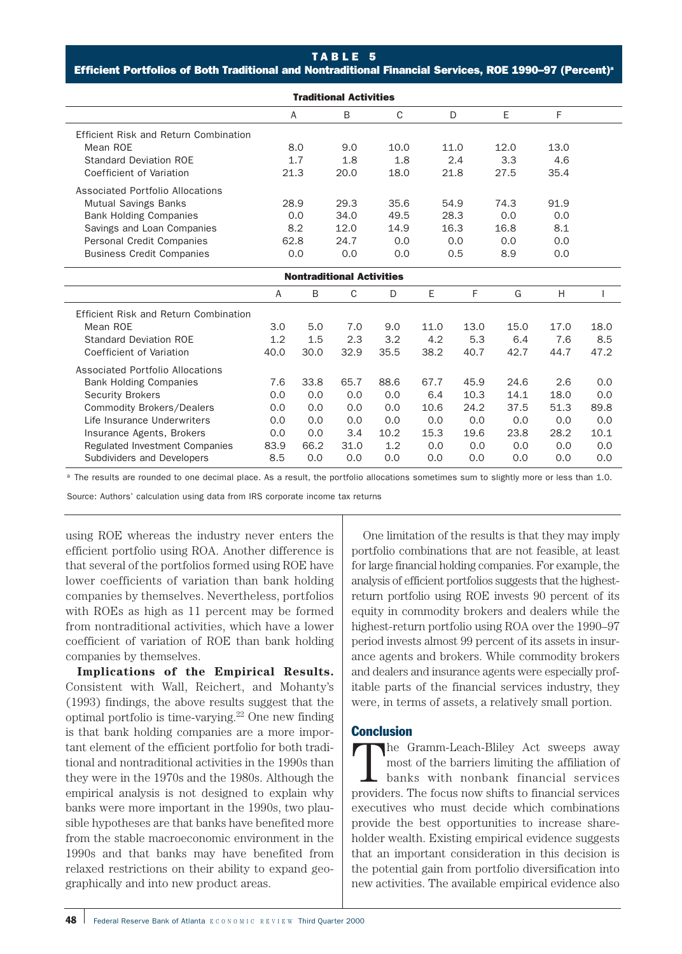#### TABLE 5

Efficient Portfolios of Both Traditional and Nontraditional Financial Services, ROE 1990-97 (Percent)<sup>®</sup>

| <b>Traditional Activities</b>         |      |      |                                  |      |      |      |      |      |      |
|---------------------------------------|------|------|----------------------------------|------|------|------|------|------|------|
|                                       |      | A    | B                                | C    |      | D    | E    | F    |      |
| Efficient Risk and Return Combination |      |      |                                  |      |      |      |      |      |      |
| Mean ROE                              |      | 8.0  | 9.0                              | 10.0 |      | 11.0 | 12.0 | 13.0 |      |
| <b>Standard Deviation ROE</b>         |      | 1.7  | 1.8                              | 1.8  |      | 2.4  | 3.3  | 4.6  |      |
| Coefficient of Variation              |      | 21.3 | 20.0                             | 18.0 |      | 21.8 | 27.5 | 35.4 |      |
| Associated Portfolio Allocations      |      |      |                                  |      |      |      |      |      |      |
| <b>Mutual Savings Banks</b>           |      | 28.9 | 29.3                             | 35.6 |      | 54.9 | 74.3 | 91.9 |      |
| <b>Bank Holding Companies</b>         |      | 0.0  | 34.0                             | 49.5 |      | 28.3 | 0.0  | 0.0  |      |
| Savings and Loan Companies            | 8.2  |      | 12.0                             | 14.9 |      | 16.3 | 16.8 | 8.1  |      |
| Personal Credit Companies             |      | 62.8 | 24.7                             | 0.0  |      | 0.0  | 0.0  | 0.0  |      |
| <b>Business Credit Companies</b>      |      | 0.0  | 0.0                              | 0.0  |      | 0.5  | 8.9  | 0.0  |      |
|                                       |      |      | <b>Nontraditional Activities</b> |      |      |      |      |      |      |
|                                       | A    | B    | $\mathsf{C}$                     | D    | E    | F    | G    | H    |      |
| Efficient Risk and Return Combination |      |      |                                  |      |      |      |      |      |      |
| Mean ROE                              | 3.0  | 5.0  | 7.0                              | 9.0  | 11.0 | 13.0 | 15.0 | 17.0 | 18.0 |
| <b>Standard Deviation ROE</b>         | 1.2  | 1.5  | 2.3                              | 3.2  | 4.2  | 5.3  | 6.4  | 7.6  | 8.5  |
| Coefficient of Variation              | 40.0 | 30.0 | 32.9                             | 35.5 | 38.2 | 40.7 | 42.7 | 44.7 | 47.2 |
| Associated Portfolio Allocations      |      |      |                                  |      |      |      |      |      |      |
| <b>Bank Holding Companies</b>         | 7.6  | 33.8 | 65.7                             | 88.6 | 67.7 | 45.9 | 24.6 | 2.6  | 0.0  |
| <b>Security Brokers</b>               | 0.0  | 0.0  | 0.0                              | 0.0  | 6.4  | 10.3 | 14.1 | 18.0 | 0.0  |
| <b>Commodity Brokers/Dealers</b>      | 0.0  | 0.0  | 0.0                              | 0.0  | 10.6 | 24.2 | 37.5 | 51.3 | 89.8 |
| Life Insurance Underwriters           | 0.0  | 0.0  | 0.0                              | 0.0  | 0.0  | 0.0  | 0.0  | 0.0  | 0.0  |
| Insurance Agents, Brokers             | 0.0  | 0.0  | 3.4                              | 10.2 | 15.3 | 19.6 | 23.8 | 28.2 | 10.1 |
| Regulated Investment Companies        | 83.9 | 66.2 | 31.0                             | 1.2  | 0.0  | 0.0  | 0.0  | 0.0  | 0.0  |
| Subdividers and Developers            | 8.5  | 0.0  | 0.0                              | 0.0  | 0.0  | 0.0  | 0.0  | 0.0  | 0.0  |

<sup>a</sup> The results are rounded to one decimal place. As a result, the portfolio allocations sometimes sum to slightly more or less than 1.0.

Source: Authors' calculation using data from IRS corporate income tax returns

using ROE whereas the industry never enters the efficient portfolio using ROA. Another difference is that several of the portfolios formed using ROE have lower coefficients of variation than bank holding companies by themselves. Nevertheless, portfolios with ROEs as high as 11 percent may be formed from nontraditional activities, which have a lower coefficient of variation of ROE than bank holding companies by themselves.

**Implications of the Empirical Results.** Consistent with Wall, Reichert, and Mohanty's (1993) findings, the above results suggest that the optimal portfolio is time-varying. $^{22}$  One new finding is that bank holding companies are a more important element of the efficient portfolio for both traditional and nontraditional activities in the 1990s than they were in the 1970s and the 1980s. Although the empirical analysis is not designed to explain why banks were more important in the 1990s, two plausible hypotheses are that banks have benefited more from the stable macroeconomic environment in the 1990s and that banks may have benefited from relaxed restrictions on their ability to expand geographically and into new product areas.

One limitation of the results is that they may imply portfolio combinations that are not feasible, at least for large financial holding companies. For example, the analysis of efficient portfolios suggests that the highestreturn portfolio using ROE invests 90 percent of its equity in commodity brokers and dealers while the highest-return portfolio using ROA over the 1990–97 period invests almost 99 percent of its assets in insurance agents and brokers. While commodity brokers and dealers and insurance agents were especially profitable parts of the financial services industry, they were, in terms of assets, a relatively small portion.

# **Conclusion**

The Gramm-Leach-Bliley Act sweeps away most of the barriers limiting the affiliation of banks with nonbank financial services providers. The focus now shifts to financial services executives who must decide which combinations provide the best opportunities to increase shareholder wealth. Existing empirical evidence suggests that an important consideration in this decision is the potential gain from portfolio diversification into new activities. The available empirical evidence also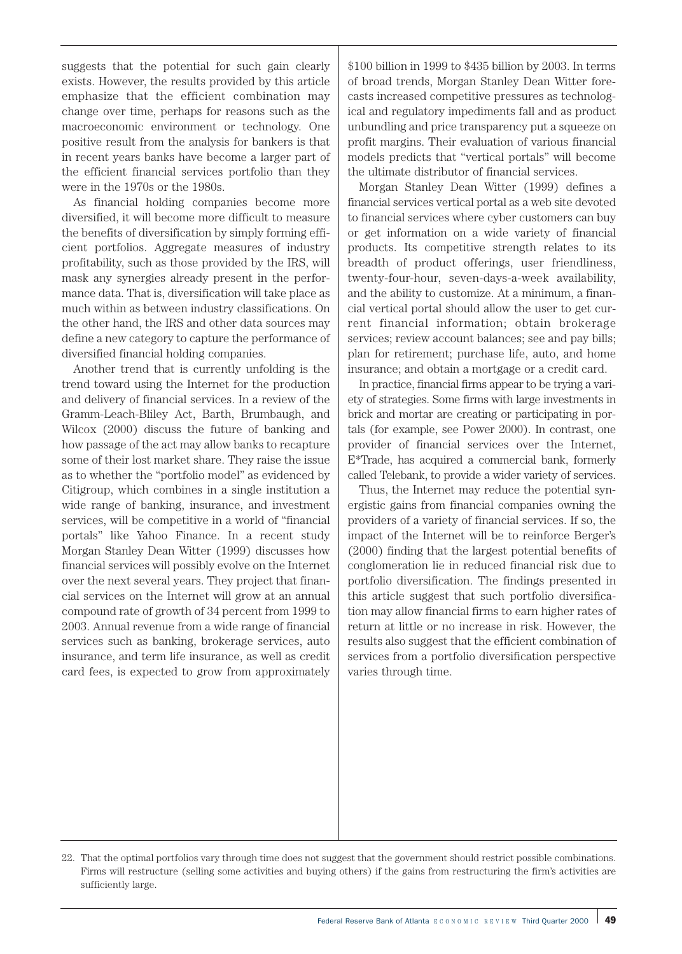suggests that the potential for such gain clearly exists. However, the results provided by this article emphasize that the efficient combination may change over time, perhaps for reasons such as the macroeconomic environment or technology. One positive result from the analysis for bankers is that in recent years banks have become a larger part of the efficient financial services portfolio than they were in the 1970s or the 1980s.

As financial holding companies become more diversified, it will become more difficult to measure the benefits of diversification by simply forming efficient portfolios. Aggregate measures of industry profitability, such as those provided by the IRS, will mask any synergies already present in the performance data. That is, diversification will take place as much within as between industry classifications. On the other hand, the IRS and other data sources may define a new category to capture the performance of diversified financial holding companies.

Another trend that is currently unfolding is the trend toward using the Internet for the production and delivery of financial services. In a review of the Gramm-Leach-Bliley Act, Barth, Brumbaugh, and Wilcox (2000) discuss the future of banking and how passage of the act may allow banks to recapture some of their lost market share. They raise the issue as to whether the "portfolio model" as evidenced by Citigroup, which combines in a single institution a wide range of banking, insurance, and investment services, will be competitive in a world of "financial portals" like Yahoo Finance. In a recent study Morgan Stanley Dean Witter (1999) discusses how financial services will possibly evolve on the Internet over the next several years. They project that financial services on the Internet will grow at an annual compound rate of growth of 34 percent from 1999 to 2003. Annual revenue from a wide range of financial services such as banking, brokerage services, auto insurance, and term life insurance, as well as credit card fees, is expected to grow from approximately

\$100 billion in 1999 to \$435 billion by 2003. In terms of broad trends, Morgan Stanley Dean Witter forecasts increased competitive pressures as technological and regulatory impediments fall and as product unbundling and price transparency put a squeeze on profit margins. Their evaluation of various financial models predicts that "vertical portals" will become the ultimate distributor of financial services.

Morgan Stanley Dean Witter (1999) defines a financial services vertical portal as a web site devoted to financial services where cyber customers can buy or get information on a wide variety of financial products. Its competitive strength relates to its breadth of product offerings, user friendliness, twenty-four-hour, seven-days-a-week availability, and the ability to customize. At a minimum, a financial vertical portal should allow the user to get current financial information; obtain brokerage services; review account balances; see and pay bills; plan for retirement; purchase life, auto, and home insurance; and obtain a mortgage or a credit card.

In practice, financial firms appear to be trying a variety of strategies. Some firms with large investments in brick and mortar are creating or participating in portals (for example, see Power 2000). In contrast, one provider of financial services over the Internet, E\*Trade, has acquired a commercial bank, formerly called Telebank, to provide a wider variety of services.

Thus, the Internet may reduce the potential synergistic gains from financial companies owning the providers of a variety of financial services. If so, the impact of the Internet will be to reinforce Berger's (2000) finding that the largest potential benefits of conglomeration lie in reduced financial risk due to portfolio diversification. The findings presented in this article suggest that such portfolio diversification may allow financial firms to earn higher rates of return at little or no increase in risk. However, the results also suggest that the efficient combination of services from a portfolio diversification perspective varies through time.

<sup>22.</sup> That the optimal portfolios vary through time does not suggest that the government should restrict possible combinations. Firms will restructure (selling some activities and buying others) if the gains from restructuring the firm's activities are sufficiently large.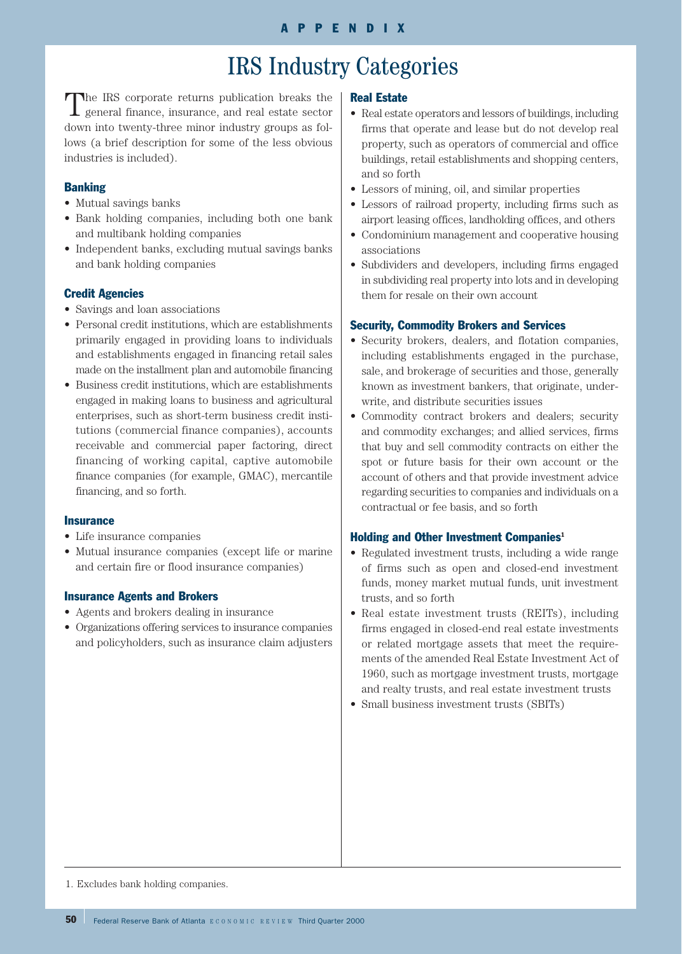# IRS Industry Categories

The IRS corporate returns publication breaks the general finance, insurance, and real estate sector down into twenty-three minor industry groups as follows (a brief description for some of the less obvious industries is included).

# **Banking**

- Mutual savings banks
- Bank holding companies, including both one bank and multibank holding companies
- Independent banks, excluding mutual savings banks and bank holding companies

# Credit Agencies

- Savings and loan associations
- Personal credit institutions, which are establishments primarily engaged in providing loans to individuals and establishments engaged in financing retail sales made on the installment plan and automobile financing
- Business credit institutions, which are establishments engaged in making loans to business and agricultural enterprises, such as short-term business credit institutions (commercial finance companies), accounts receivable and commercial paper factoring, direct financing of working capital, captive automobile finance companies (for example, GMAC), mercantile financing, and so forth.

## **Insurance**

- Life insurance companies
- Mutual insurance companies (except life or marine and certain fire or flood insurance companies)

# Insurance Agents and Brokers

- Agents and brokers dealing in insurance
- Organizations offering services to insurance companies and policyholders, such as insurance claim adjusters

## Real Estate

- Real estate operators and lessors of buildings, including firms that operate and lease but do not develop real property, such as operators of commercial and office buildings, retail establishments and shopping centers, and so forth
- Lessors of mining, oil, and similar properties
- Lessors of railroad property, including firms such as airport leasing offices, landholding offices, and others
- Condominium management and cooperative housing associations
- Subdividers and developers, including firms engaged in subdividing real property into lots and in developing them for resale on their own account

# Security, Commodity Brokers and Services

- Security brokers, dealers, and flotation companies, including establishments engaged in the purchase, sale, and brokerage of securities and those, generally known as investment bankers, that originate, underwrite, and distribute securities issues
- Commodity contract brokers and dealers; security and commodity exchanges; and allied services, firms that buy and sell commodity contracts on either the spot or future basis for their own account or the account of others and that provide investment advice regarding securities to companies and individuals on a contractual or fee basis, and so forth

## Holding and Other Investment Companies<sup>1</sup>

- Regulated investment trusts, including a wide range of firms such as open and closed-end investment funds, money market mutual funds, unit investment trusts, and so forth
- Real estate investment trusts (REITs), including firms engaged in closed-end real estate investments or related mortgage assets that meet the requirements of the amended Real Estate Investment Act of 1960, such as mortgage investment trusts, mortgage and realty trusts, and real estate investment trusts
- Small business investment trusts (SBITs)

1. Excludes bank holding companies.